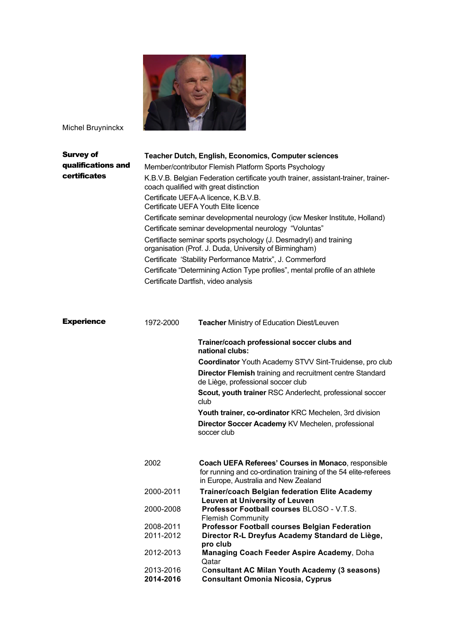

Michel Bruyninckx

| <b>Survey of</b><br>qualifications and<br>certificates |                        | <b>Teacher Dutch, English, Economics, Computer sciences</b><br>Member/contributor Flemish Platform Sports Psychology<br>K.B.V.B. Belgian Federation certificate youth trainer, assistant-trainer, trainer-<br>coach qualified with great distinction<br>Certificate UEFA-A licence, K.B.V.B.<br>Certificate UEFA Youth Elite licence<br>Certificate seminar developmental neurology (icw Mesker Institute, Holland)<br>Certificate seminar developmental neurology "Voluntas"<br>Certifiacte seminar sports psychology (J. Desmadryl) and training<br>organisation (Prof. J. Duda, University of Birmingham)<br>Certificate 'Stability Performance Matrix", J. Commerford<br>Certificate "Determining Action Type profiles", mental profile of an athlete<br>Certificate Dartfish, video analysis |
|--------------------------------------------------------|------------------------|---------------------------------------------------------------------------------------------------------------------------------------------------------------------------------------------------------------------------------------------------------------------------------------------------------------------------------------------------------------------------------------------------------------------------------------------------------------------------------------------------------------------------------------------------------------------------------------------------------------------------------------------------------------------------------------------------------------------------------------------------------------------------------------------------|
| <b>Experience</b>                                      | 1972-2000              | <b>Teacher Ministry of Education Diest/Leuven</b>                                                                                                                                                                                                                                                                                                                                                                                                                                                                                                                                                                                                                                                                                                                                                 |
|                                                        |                        | Trainer/coach professional soccer clubs and<br>national clubs:                                                                                                                                                                                                                                                                                                                                                                                                                                                                                                                                                                                                                                                                                                                                    |
|                                                        |                        | Coordinator Youth Academy STVV Sint-Truidense, pro club                                                                                                                                                                                                                                                                                                                                                                                                                                                                                                                                                                                                                                                                                                                                           |
|                                                        |                        | <b>Director Flemish training and recruitment centre Standard</b><br>de Liège, professional soccer club                                                                                                                                                                                                                                                                                                                                                                                                                                                                                                                                                                                                                                                                                            |
|                                                        |                        | Scout, youth trainer RSC Anderlecht, professional soccer<br>club                                                                                                                                                                                                                                                                                                                                                                                                                                                                                                                                                                                                                                                                                                                                  |
|                                                        |                        | Youth trainer, co-ordinator KRC Mechelen, 3rd division                                                                                                                                                                                                                                                                                                                                                                                                                                                                                                                                                                                                                                                                                                                                            |
|                                                        |                        | Director Soccer Academy KV Mechelen, professional<br>soccer club                                                                                                                                                                                                                                                                                                                                                                                                                                                                                                                                                                                                                                                                                                                                  |
|                                                        | 2002                   | Coach UEFA Referees' Courses in Monaco, responsible<br>for running and co-ordination training of the 54 elite-referees<br>in Europe, Australia and New Zealand                                                                                                                                                                                                                                                                                                                                                                                                                                                                                                                                                                                                                                    |
|                                                        | 2000-2011              | <b>Trainer/coach Belgian federation Elite Academy</b>                                                                                                                                                                                                                                                                                                                                                                                                                                                                                                                                                                                                                                                                                                                                             |
|                                                        | 2000-2008              | Leuven at University of Leuven<br>Professor Football courses BLOSO - V.T.S.<br><b>Flemish Community</b>                                                                                                                                                                                                                                                                                                                                                                                                                                                                                                                                                                                                                                                                                           |
|                                                        | 2008-2011<br>2011-2012 | <b>Professor Football courses Belgian Federation</b><br>Director R-L Dreyfus Academy Standard de Liège,                                                                                                                                                                                                                                                                                                                                                                                                                                                                                                                                                                                                                                                                                           |
|                                                        | 2012-2013              | pro club<br>Managing Coach Feeder Aspire Academy, Doha<br>Qatar                                                                                                                                                                                                                                                                                                                                                                                                                                                                                                                                                                                                                                                                                                                                   |
|                                                        | 2013-2016<br>2014-2016 | <b>Consultant AC Milan Youth Academy (3 seasons)</b><br><b>Consultant Omonia Nicosia, Cyprus</b>                                                                                                                                                                                                                                                                                                                                                                                                                                                                                                                                                                                                                                                                                                  |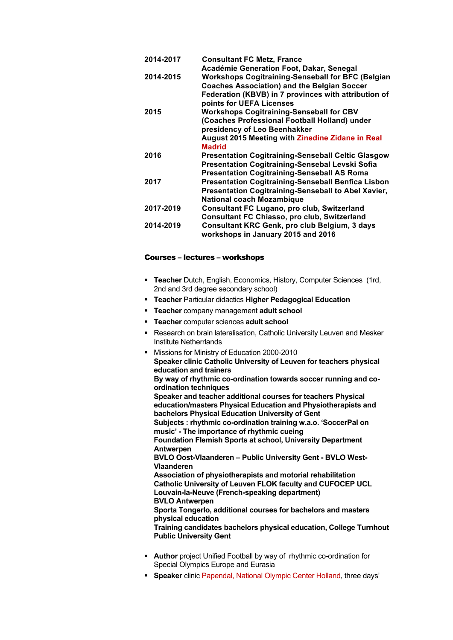| 2014-2017 | <b>Consultant FC Metz, France</b>                          |
|-----------|------------------------------------------------------------|
|           | Académie Generation Foot, Dakar, Senegal                   |
| 2014-2015 | <b>Workshops Cogitraining-Senseball for BFC (Belgian</b>   |
|           | <b>Coaches Association) and the Belgian Soccer</b>         |
|           | Federation (KBVB) in 7 provinces with attribution of       |
|           | points for UEFA Licenses                                   |
| 2015      | <b>Workshops Cogitraining-Senseball for CBV</b>            |
|           | (Coaches Professional Football Holland) under              |
|           | presidency of Leo Beenhakker                               |
|           | August 2015 Meeting with Zinedine Zidane in Real           |
|           | <b>Madrid</b>                                              |
| 2016      | <b>Presentation Cogitraining-Senseball Celtic Glasgow</b>  |
|           | <b>Presentation Cogitraining-Sensebal Levski Sofia</b>     |
|           | <b>Presentation Cogitraining-Senseball AS Roma</b>         |
| 2017      | <b>Presentation Cogitraining-Senseball Benfica Lisbon</b>  |
|           | <b>Presentation Cogitraining-Senseball to Abel Xavier,</b> |
|           | <b>National coach Mozambique</b>                           |
| 2017-2019 | <b>Consultant FC Lugano, pro club, Switzerland</b>         |
|           | Consultant FC Chiasso, pro club, Switzerland               |
| 2014-2019 | Consultant KRC Genk, pro club Belgium, 3 days              |
|           | workshops in January 2015 and 2016                         |

### Courses – lectures – workshops

- § **Teacher** Dutch, English, Economics, History, Computer Sciences (1rd, 2nd and 3rd degree secondary school)
- § **Teacher** Particular didactics **Higher Pedagogical Education**
- § **Teacher** company management **adult school**
- § **Teacher** computer sciences **adult school**
- Research on brain lateralisation, Catholic University Leuven and Mesker Institute Netherrlands
- § Missions for Ministry of Education 2000-2010 **Speaker clinic Catholic University of Leuven for teachers physical education and trainers By way of rhythmic co-ordination towards soccer running and coordination techniques Speaker and teacher additional courses for teachers Physical education/masters Physical Education and Physiotherapists and bachelors Physical Education University of Gent Subjects : rhythmic co-ordination training w.a.o. 'SoccerPal on music' - The importance of rhythmic cueing Foundation Flemish Sports at school, University Department Antwerpen BVLO Oost-Vlaanderen – Public University Gent - BVLO West-Vlaanderen Association of physiotherapists and motorial rehabilitation Catholic University of Leuven FLOK faculty and CUFOCEP UCL Louvain-la-Neuve (French-speaking department) BVLO Antwerpen Sporta Tongerlo, additional courses for bachelors and masters physical education Training candidates bachelors physical education, College Turnhout Public University Gent**
- **Author** project Unified Football by way of rhythmic co-ordination for Special Olympics Europe and Eurasia
- § **Speaker** clinic Papendal, National Olympic Center Holland, three days'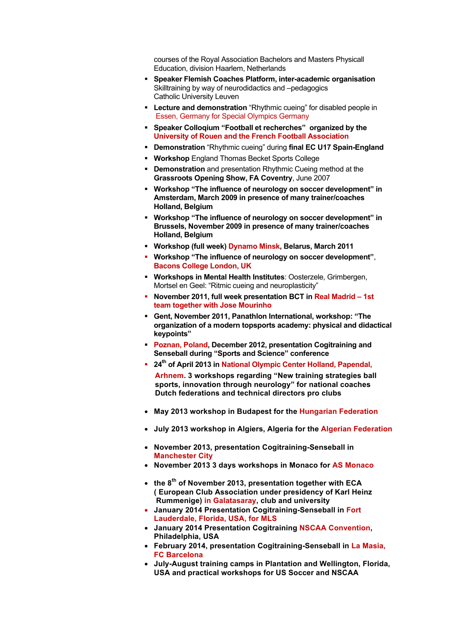courses of the Royal Association Bachelors and Masters Physicall Education, division Haarlem, Netherlands

- § **Speaker Flemish Coaches Platform, inter-academic organisation** Skilltraining by way of neurodidactics and –pedagogics Catholic University Leuven
- **E** Lecture and demonstration "Rhythmic cueing" for disabled people in Essen, Germany for Special Olympics Germany
- § **Speaker Colloqium "Football et recherches" organized by the University of Rouen and the French Football Association**
- § **Demonstration** "Rhythmic cueing" during **final EC U17 Spain-England**
- § **Workshop** England Thomas Becket Sports College
- **Demonstration** and presentation Rhythmic Cueing method at the **Grassroots Opening Show, FA Coventry**, June 2007
- § **Workshop "The influence of neurology on soccer development" in Amsterdam, March 2009 in presence of many trainer/coaches Holland, Belgium**
- § **Workshop "The influence of neurology on soccer development" in Brussels, November 2009 in presence of many trainer/coaches Holland, Belgium**
- § **Workshop (full week) Dynamo Minsk, Belarus, March 2011**
- § **Workshop "The influence of neurology on soccer development"**, **Bacons College London, UK**
- § **Workshops in Mental Health Institutes**: Oosterzele, Grimbergen, Mortsel en Geel: "Ritmic cueing and neuroplasticity"
- § **November 2011, full week presentation BCT in Real Madrid – 1st team together with Jose Mourinho**
- § **Gent, November 2011, Panathlon International, workshop: "The organization of a modern topsports academy: physical and didactical keypoints"**
- § **Poznan, Poland, December 2012, presentation Cogitraining and Senseball during "Sports and Science" conference**
- <sup>■</sup> 24<sup>th</sup> of April 2013 in National Olympic Center Holland, Papendal,  **Arhnem. 3 workshops regarding "New training strategies ball sports, innovation through neurology" for national coaches Dutch federations and technical directors pro clubs**
- **May 2013 workshop in Budapest for the Hungarian Federation**
- **July 2013 workshop in Algiers, Algeria for the Algerian Federation**
- **November 2013, presentation Cogitraining-Senseball in Manchester City**
- **November 2013 3 days workshops in Monaco for AS Monaco**
- **the 8th of November 2013, presentation together with ECA ( European Club Association under presidency of Karl Heinz Rummenige) in Galatasaray, club and university**
- **January 2014 Presentation Cogitraining-Senseball in Fort Lauderdale, Florida, USA, for MLS**
- **January 2014 Presentation Cogitraining NSCAA Convention, Philadelphia, USA**
- **February 2014, presentation Cogitraining-Senseball in La Masia, FC Barcelona**
- **July-August training camps in Plantation and Wellington, Florida, USA and practical workshops for US Soccer and NSCAA**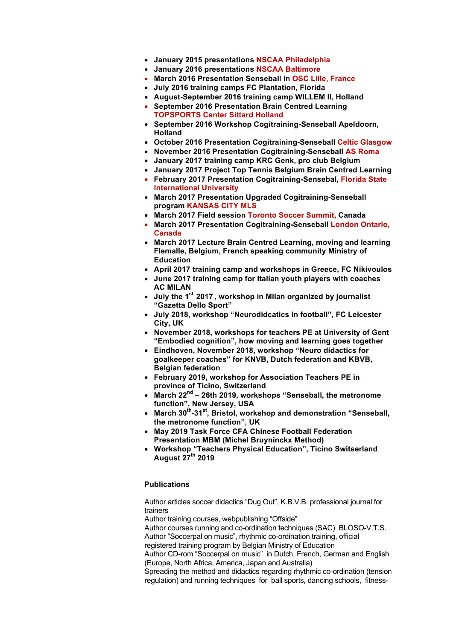- **January 2015 presentations NSCAA Philadelphia**
- **January 2016 presentations NSCAA Baltimore**
- **March 2016 Presentation Senseball in OSC Lille, France**
	- **July 2016 training camps FC Plantation, Florida**
	- **August-September 2016 training camp WILLEM II, Holland**
	- **September 2016 Presentation Brain Centred Learning TOPSPORTS Center Sittard Holland**
	- **September 2016 Workshop Cogitraining-Senseball Apeldoorn, Holland**
	- **October 2016 Presentation Cogitraining-Senseball Celtic Glasgow**
	- **November 2016 Presentation Cogitraining-Senseball AS Roma**
	- **January 2017 training camp KRC Genk, pro club Belgium**
	- **January 2017 Project Top Tennis Belgium Brain Centred Learning**
	- **February 2017 Presentation Cogitraining-Sensebal, Florida State International University**
	- **March 2017 Presentation Upgraded Cogitraining-Senseball program KANSAS CITY MLS**
	- **March 2017 Field session Toronto Soccer Summit, Canada**
	- **March 2017 Presentation Cogitraining-Senseball London Ontario, Canada**
	- **March 2017 Lecture Brain Centred Learning, moving and learning Flemalle, Belgium, French speaking community Ministry of Education**
- **April 2017 training camp and workshops in Greece, FC Nikivoulos**
- **June 2017 training camp for Italian youth players with coaches AC MILAN**
- **July the 1st 2017 , workshop in Milan organized by journalist "Gazetta Dello Sport"**
- **July 2018, workshop "Neurodidcatics in football", FC Leicester City, UK**
- **November 2018, workshops for teachers PE at University of Gent "Embodied cognition", how moving and learning goes together**
- **Eindhoven, November 2018, workshop "Neuro didactics for goalkeeper coaches" for KNVB, Dutch federation and KBVB, Belgian federation**
- **February 2019, workshop for Association Teachers PE in province of Ticino, Switzerland**
- **March 22nd – 26th 2019, workshops "Senseball, the metronome function", New Jersey, USA**
- **March 30th-31st, Bristol, workshop and demonstration "Senseball, the metronome function", UK**
- **May 2019 Task Force CFA Chinese Football Federation Presentation MBM (Michel Bruyninckx Method)**
- **Workshop "Teachers Physical Education", Ticino Switserland August 27th 2019**

#### **Publications**

Author articles soccer didactics "Dug Out", K.B.V.B. professional journal for trainers

Author training courses, webpublishing "Offside"

Author courses running and co-ordination techniques (SAC) BLOSO-V.T.S. Author "Soccerpal on music", rhythmic co-ordination training, official

registered training program by Belgian Ministry of Education

Author CD-rom "Soccerpal on music" in Dutch, French, German and English (Europe, North Africa, America, Japan and Australia)

Spreading the method and didactics regarding rhythmic co-ordination (tension regulation) and running techniques for ball sports, dancing schools, fitness-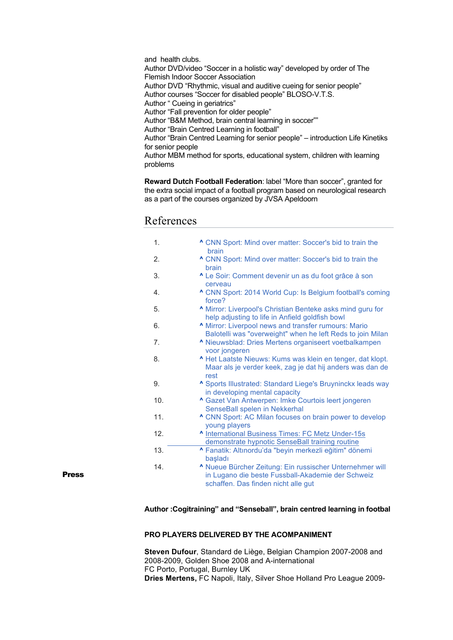and health clubs. Author DVD/video "Soccer in a holistic way" developed by order of The Flemish Indoor Soccer Association Author DVD "Rhythmic, visual and auditive cueing for senior people" Author courses "Soccer for disabled people" BLOSO-V.T.S. Author " Cueing in geriatrics" Author "Fall prevention for older people" Author "B&M Method, brain central learning in soccer"" Author "Brain Centred Learning in football" Author "Brain Centred Learning for senior people" – introduction Life Kinetiks for senior people Author MBM method for sports, educational system, children with learning problems

**Reward Dutch Football Federation**: label "More than soccer", granted for the extra social impact of a football program based on neurological research as a part of the courses organized by JVSA Apeldoorn

# References

| 1.  | " CNN Sport: Mind over matter: Soccer's bid to train the<br>brain                                                                                           |
|-----|-------------------------------------------------------------------------------------------------------------------------------------------------------------|
| 2.  | " CNN Sport: Mind over matter: Soccer's bid to train the<br>brain                                                                                           |
| 3.  | "Le Soir: Comment devenir un as du foot grâce à son<br>cerveau                                                                                              |
| 4.  | ^ CNN Sport: 2014 World Cup: Is Belgium football's coming<br>force?                                                                                         |
| 5.  | Mirror: Liverpool's Christian Benteke asks mind guru for<br>help adjusting to life in Anfield goldfish bowl                                                 |
| 6.  | Mirror: Liverpool news and transfer rumours: Mario<br>Balotelli was "overweight" when he left Reds to join Milan                                            |
| 7.  | Nieuwsblad: Dries Mertens organiseert voetbalkampen<br>voor jongeren                                                                                        |
| 8.  | A Het Laatste Nieuws: Kums was klein en tenger, dat klopt.<br>Maar als je verder keek, zag je dat hij anders was dan de<br>rest                             |
| 9.  | <b>^ Sports Illustrated: Standard Liege's Bruyninckx leads way</b><br>in developing mental capacity                                                         |
| 10. | <b>^ Gazet Van Antwerpen: Imke Courtois leert jongeren</b><br>SenseBall spelen in Nekkerhal                                                                 |
| 11. | <b>^ CNN Sport: AC Milan focuses on brain power to develop</b><br>young players                                                                             |
| 12. | A International Business Times: FC Metz Under-15s<br>demonstrate hypnotic SenseBall training routine                                                        |
| 13. | <b>^ Fanatik: Altınordu'da "beyin merkezli eğitim" dönemi</b><br>basladı                                                                                    |
| 14. | <b>^ Nueue Bürcher Zeitung: Ein russischer Unternehmer will</b><br>in Lugano die beste Fussball-Akademie der Schweiz<br>schaffen. Das finden nicht alle gut |

Press

**Author :Cogitraining" and "Senseball", brain centred learning in footbal**

## **PRO PLAYERS DELIVERED BY THE ACOMPANIMENT**

**Steven Dufour**, Standard de Liège, Belgian Champion 2007-2008 and 2008-2009, Golden Shoe 2008 and A-international FC Porto, Portugal, Burnley UK **Dries Mertens,** FC Napoli, Italy, Silver Shoe Holland Pro League 2009-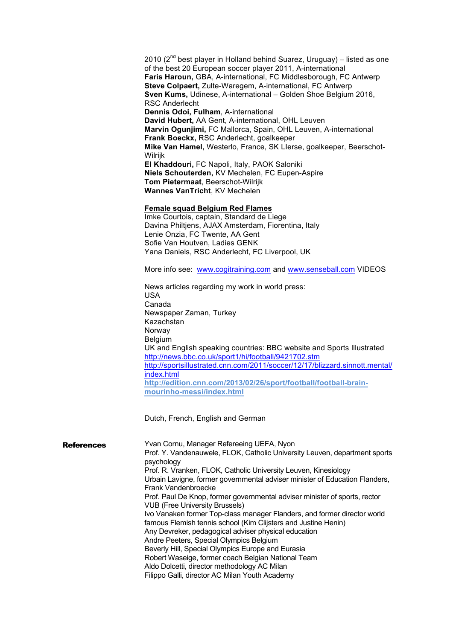2010  $(2^{nd}$  best player in Holland behind Suarez, Uruguay) – listed as one of the best 20 European soccer player 2011, A-international **Faris Haroun,** GBA, A-international, FC Middlesborough, FC Antwerp **Steve Colpaert,** Zulte-Waregem, A-international, FC Antwerp **Sven Kums,** Udinese, A-international – Golden Shoe Belgium 2016, RSC Anderlecht **Dennis Odoi, Fulham**, A-international **David Hubert,** AA Gent, A-international, OHL Leuven **Marvin Ogunjimi,** FC Mallorca, Spain, OHL Leuven, A-international **Frank Boeckx,** RSC Anderlecht, goalkeeper **Mike Van Hamel,** Westerlo, France, SK LIerse, goalkeeper, Beerschot-Wilrijk **El Khaddouri,** FC Napoli, Italy, PAOK Saloniki **Niels Schouterden,** KV Mechelen, FC Eupen-Aspire **Tom Pietermaat**, Beerschot-Wilrijk **Wannes VanTricht**, KV Mechelen

## **Female squad Belgium Red Flames**

Imke Courtois, captain, Standard de Liege Davina Philtjens, AJAX Amsterdam, Fiorentina, Italy Lenie Onzia, FC Twente, AA Gent Sofie Van Houtven, Ladies GENK Yana Daniels, RSC Anderlecht, FC Liverpool, UK

More info see: www.cogitraining.com and www.senseball.com VIDEOS

News articles regarding my work in world press: USA Canada Newspaper Zaman, Turkey Kazachstan Norway **Belgium** UK and English speaking countries: BBC website and Sports Illustrated http://news.bbc.co.uk/sport1/hi/football/9421702.stm http://sportsillustrated.cnn.com/2011/soccer/12/17/blizzard.sinnott.mental/ index.html **http://edition.cnn.com/2013/02/26/sport/football/football-brainmourinho-messi/index.html**

Dutch, French, English and German

| <b>References</b> | Yvan Cornu, Manager Refereeing UEFA, Nyon                                                          |
|-------------------|----------------------------------------------------------------------------------------------------|
|                   | Prof. Y. Vandenauwele, FLOK, Catholic University Leuven, department sports                         |
|                   | psychology                                                                                         |
|                   | Prof. R. Vranken, FLOK, Catholic University Leuven, Kinesiology                                    |
|                   | Urbain Lavigne, former governmental adviser minister of Education Flanders,<br>Frank Vandenbroecke |
|                   | Prof. Paul De Knop, former governmental adviser minister of sports, rector                         |
|                   | <b>VUB (Free University Brussels)</b>                                                              |
|                   | Ivo Vanaken former Top-class manager Flanders, and former director world                           |
|                   | famous Flemish tennis school (Kim Clijsters and Justine Henin)                                     |
|                   | Any Devreker, pedagogical adviser physical education                                               |
|                   | Andre Peeters, Special Olympics Belgium                                                            |
|                   | Beverly Hill, Special Olympics Europe and Eurasia                                                  |
|                   | Robert Waseige, former coach Belgian National Team                                                 |
|                   | Aldo Dolcetti, director methodology AC Milan                                                       |
|                   | Filippo Galli, director AC Milan Youth Academy                                                     |